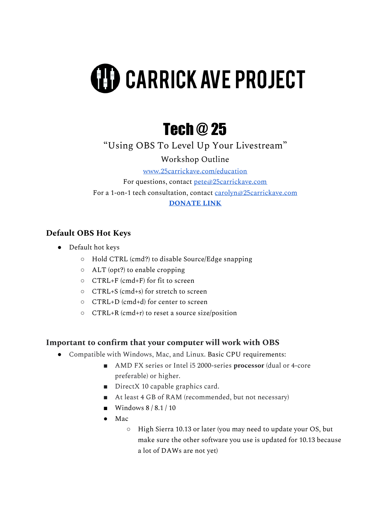# **(H) CARRICK AVE PROJECT**

## Tech @ 25

"Using OBS To Level Up Your Livestream"

Workshop Outline

[www.25carrickave.com/education](http://www.25carrickave.com/education)

For questions, contact [pete@25carrickave.com](mailto:pete@25carrickave.com) For a 1-on-1 tech consultation, contact [carolyn@25carrickave.com](mailto:carolyn@25carrickave.com) **[DONATE](https://www.paypal.com/paypalme/25carrick) LINK**

#### **Default OBS Hot Keys**

- Default hot keys
	- Hold CTRL (cmd?) to disable Source/Edge snapping
	- ALT (opt?) to enable cropping
	- CTRL+F (cmd+F) for fit to screen
	- CTRL+S (cmd+s) for stretch to screen
	- CTRL+D (cmd+d) for center to screen
	- CTRL+R (cmd+r) to reset a source size/position

#### **Important to confirm that your computer will work with OBS**

- Compatible with Windows, Mac, and Linux. Basic CPU requirements:
	- AMD FX series or Intel i5 2000-series **processor** (dual or 4-core preferable) or higher.
	- DirectX 10 capable graphics card.
	- At least 4 GB of RAM (recommended, but not necessary)
	- $\blacksquare$  Windows 8 / 8.1 / 10
	- Mac
		- High Sierra 10.13 or later (you may need to update your OS, but make sure the other software you use is updated for 10.13 because a lot of DAWs are not yet)